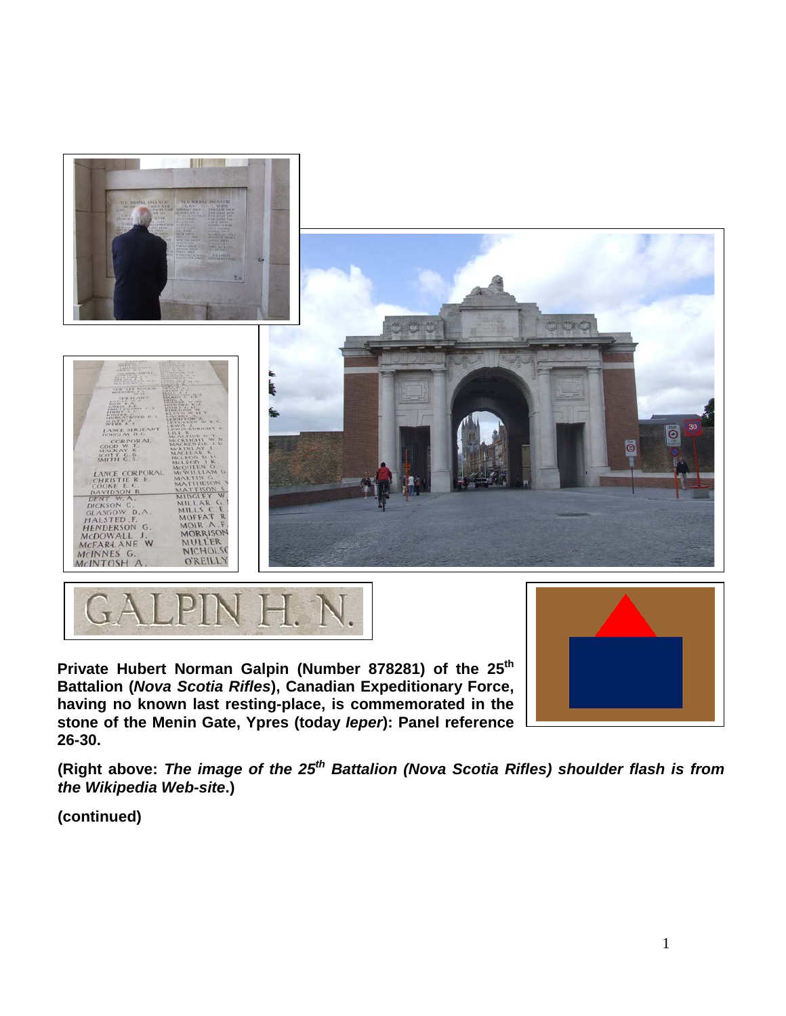



Private Hubert Norman Galpin (Number 878281) of the 25<sup>th</sup> **Battalion (***Nova Scotia Rifles***), Canadian Expeditionary Force, having no known last resting-place, is commemorated in the stone of the Menin Gate, Ypres (today** *Ieper***): Panel reference 26-30.**



**(Right above:** *The image of the 25th Battalion (Nova Scotia Rifles) shoulder flash is from the Wikipedia Web-site***.)**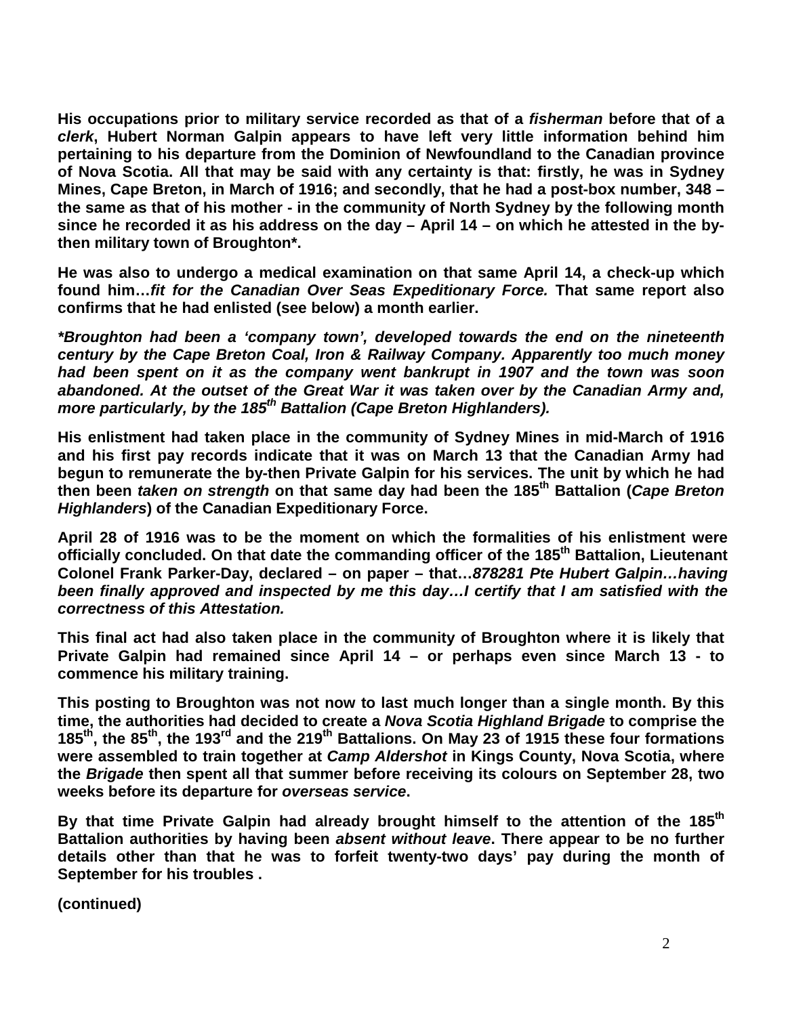**His occupations prior to military service recorded as that of a** *fisherman* **before that of a**  *clerk***, Hubert Norman Galpin appears to have left very little information behind him pertaining to his departure from the Dominion of Newfoundland to the Canadian province of Nova Scotia. All that may be said with any certainty is that: firstly, he was in Sydney Mines, Cape Breton, in March of 1916; and secondly, that he had a post-box number, 348 – the same as that of his mother - in the community of North Sydney by the following month since he recorded it as his address on the day – April 14 – on which he attested in the bythen military town of Broughton\*.**

**He was also to undergo a medical examination on that same April 14, a check-up which found him…***fit for the Canadian Over Seas Expeditionary Force.* **That same report also confirms that he had enlisted (see below) a month earlier.**

*\*Broughton had been a 'company town', developed towards the end on the nineteenth century by the Cape Breton Coal, Iron & Railway Company. Apparently too much money had been spent on it as the company went bankrupt in 1907 and the town was soon abandoned. At the outset of the Great War it was taken over by the Canadian Army and, more particularly, by the 185th Battalion (Cape Breton Highlanders).*

**His enlistment had taken place in the community of Sydney Mines in mid-March of 1916 and his first pay records indicate that it was on March 13 that the Canadian Army had begun to remunerate the by-then Private Galpin for his services. The unit by which he had then been** *taken on strength* **on that same day had been the 185th Battalion (***Cape Breton Highlanders***) of the Canadian Expeditionary Force.** 

**April 28 of 1916 was to be the moment on which the formalities of his enlistment were officially concluded. On that date the commanding officer of the 185th Battalion, Lieutenant Colonel Frank Parker-Day, declared – on paper – that…***878281 Pte Hubert Galpin…having been finally approved and inspected by me this day…I certify that I am satisfied with the correctness of this Attestation.*

**This final act had also taken place in the community of Broughton where it is likely that Private Galpin had remained since April 14 – or perhaps even since March 13 - to commence his military training.**

**This posting to Broughton was not now to last much longer than a single month. By this time, the authorities had decided to create a** *Nova Scotia Highland Brigade* **to comprise the 185th, the 85th, the 193rd and the 219th Battalions. On May 23 of 1915 these four formations were assembled to train together at** *Camp Aldershot* **in Kings County, Nova Scotia, where the** *Brigade* **then spent all that summer before receiving its colours on September 28, two weeks before its departure for** *overseas service***.**

By that time Private Galpin had already brought himself to the attention of the 185<sup>th</sup> **Battalion authorities by having been** *absent without leave***. There appear to be no further details other than that he was to forfeit twenty-two days' pay during the month of September for his troubles .**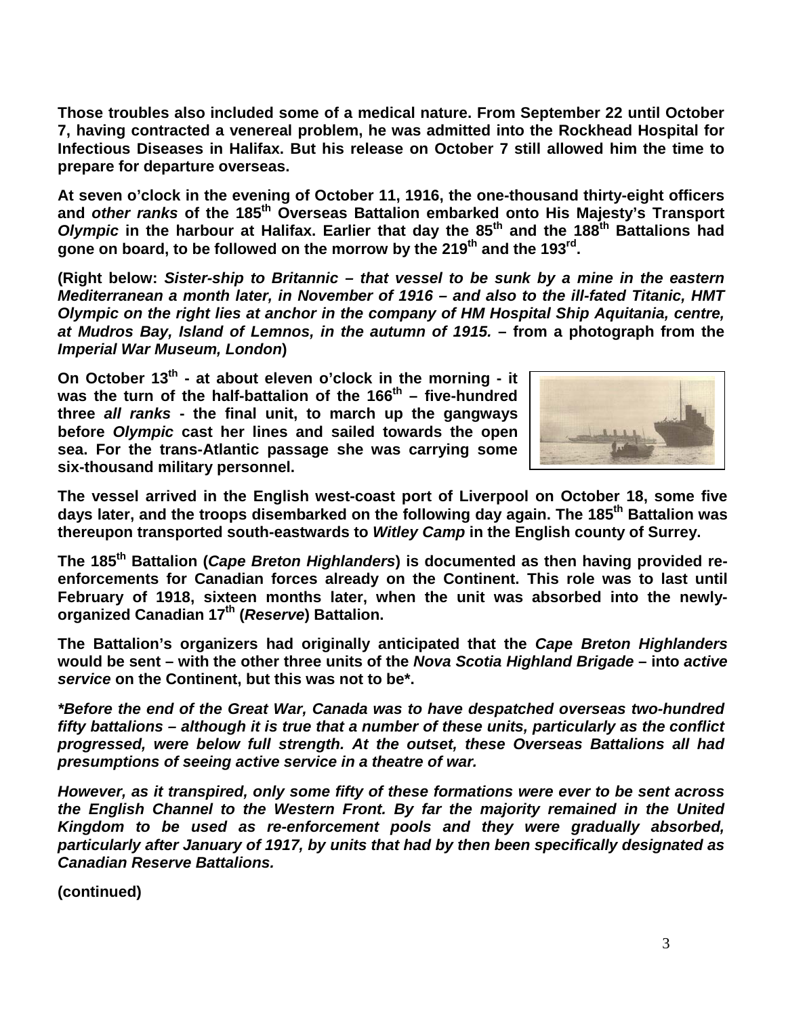**Those troubles also included some of a medical nature. From September 22 until October 7, having contracted a venereal problem, he was admitted into the Rockhead Hospital for Infectious Diseases in Halifax. But his release on October 7 still allowed him the time to prepare for departure overseas.**

**At seven o'clock in the evening of October 11, 1916, the one-thousand thirty-eight officers and** *other ranks* **of the 185th Overseas Battalion embarked onto His Majesty's Transport**  *Olympic* **in the harbour at Halifax. Earlier that day the 85th and the 188th Battalions had gone on board, to be followed on the morrow by the 219th and the 193rd.** 

**(Right below:** *Sister-ship to Britannic – that vessel to be sunk by a mine in the eastern Mediterranean a month later, in November of 1916 – and also to the ill-fated Titanic, HMT Olympic on the right lies at anchor in the company of HM Hospital Ship Aquitania, centre, at Mudros Bay, Island of Lemnos, in the autumn of 1915.* **– from a photograph from the**  *Imperial War Museum, London***)**

**On October 13th - at about eleven o'clock in the morning - it**  was the turn of the half-battalion of the 166<sup>th</sup> – five-hundred **three** *all ranks* **- the final unit, to march up the gangways before** *Olympic* **cast her lines and sailed towards the open sea. For the trans-Atlantic passage she was carrying some six-thousand military personnel.**



**The vessel arrived in the English west-coast port of Liverpool on October 18, some five days later, and the troops disembarked on the following day again. The 185th Battalion was thereupon transported south-eastwards to** *Witley Camp* **in the English county of Surrey.** 

**The 185th Battalion (***Cape Breton Highlanders***) is documented as then having provided reenforcements for Canadian forces already on the Continent. This role was to last until February of 1918, sixteen months later, when the unit was absorbed into the newlyorganized Canadian 17th (***Reserve***) Battalion.** 

**The Battalion's organizers had originally anticipated that the** *Cape Breton Highlanders* **would be sent – with the other three units of the** *Nova Scotia Highland Brigade* **– into** *active service* **on the Continent, but this was not to be\*.**

*\*Before the end of the Great War, Canada was to have despatched overseas two-hundred fifty battalions – although it is true that a number of these units, particularly as the conflict progressed, were below full strength. At the outset, these Overseas Battalions all had presumptions of seeing active service in a theatre of war.*

*However, as it transpired, only some fifty of these formations were ever to be sent across the English Channel to the Western Front. By far the majority remained in the United Kingdom to be used as re-enforcement pools and they were gradually absorbed, particularly after January of 1917, by units that had by then been specifically designated as Canadian Reserve Battalions.*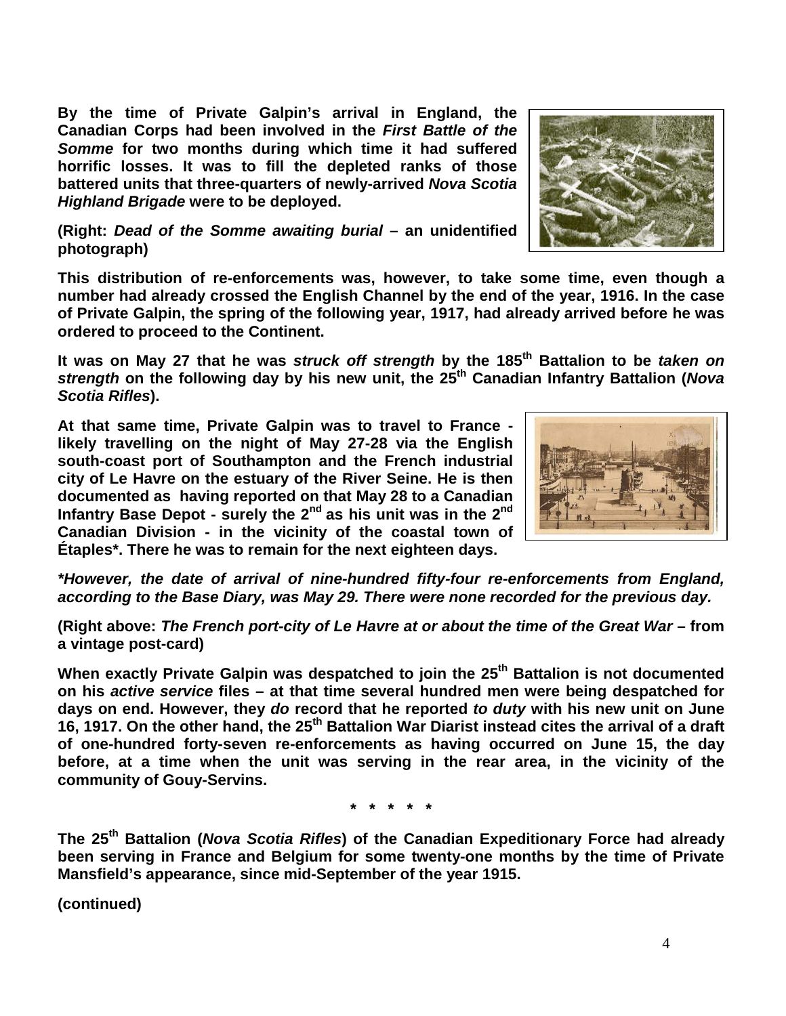**By the time of Private Galpin's arrival in England, the Canadian Corps had been involved in the** *First Battle of the Somme* **for two months during which time it had suffered horrific losses. It was to fill the depleted ranks of those battered units that three-quarters of newly-arrived** *Nova Scotia Highland Brigade* **were to be deployed.**



**This distribution of re-enforcements was, however, to take some time, even though a number had already crossed the English Channel by the end of the year, 1916. In the case of Private Galpin, the spring of the following year, 1917, had already arrived before he was ordered to proceed to the Continent.** 

**It was on May 27 that he was** *struck off strength* **by the 185th Battalion to be** *taken on strength* **on the following day by his new unit, the 25th Canadian Infantry Battalion (***Nova Scotia Rifles***).** 

**At that same time, Private Galpin was to travel to France likely travelling on the night of May 27-28 via the English south-coast port of Southampton and the French industrial city of Le Havre on the estuary of the River Seine. He is then documented as having reported on that May 28 to a Canadian Infantry Base Depot - surely the 2nd as his unit was in the 2nd Canadian Division - in the vicinity of the coastal town of Étaples\*. There he was to remain for the next eighteen days.**

*\*However, the date of arrival of nine-hundred fifty-four re-enforcements from England, according to the Base Diary, was May 29. There were none recorded for the previous day.* 

**(Right above:** *The French port-city of Le Havre at or about the time of the Great War* **– from a vintage post-card)**

**When exactly Private Galpin was despatched to join the 25th Battalion is not documented on his** *active service* **files – at that time several hundred men were being despatched for days on end. However, they** *do* **record that he reported** *to duty* **with his new unit on June 16, 1917. On the other hand, the 25th Battalion War Diarist instead cites the arrival of a draft of one-hundred forty-seven re-enforcements as having occurred on June 15, the day before, at a time when the unit was serving in the rear area, in the vicinity of the community of Gouy-Servins.** 

**\* \* \* \* \***

**The 25th Battalion (***Nova Scotia Rifles***) of the Canadian Expeditionary Force had already been serving in France and Belgium for some twenty-one months by the time of Private Mansfield's appearance, since mid-September of the year 1915.**



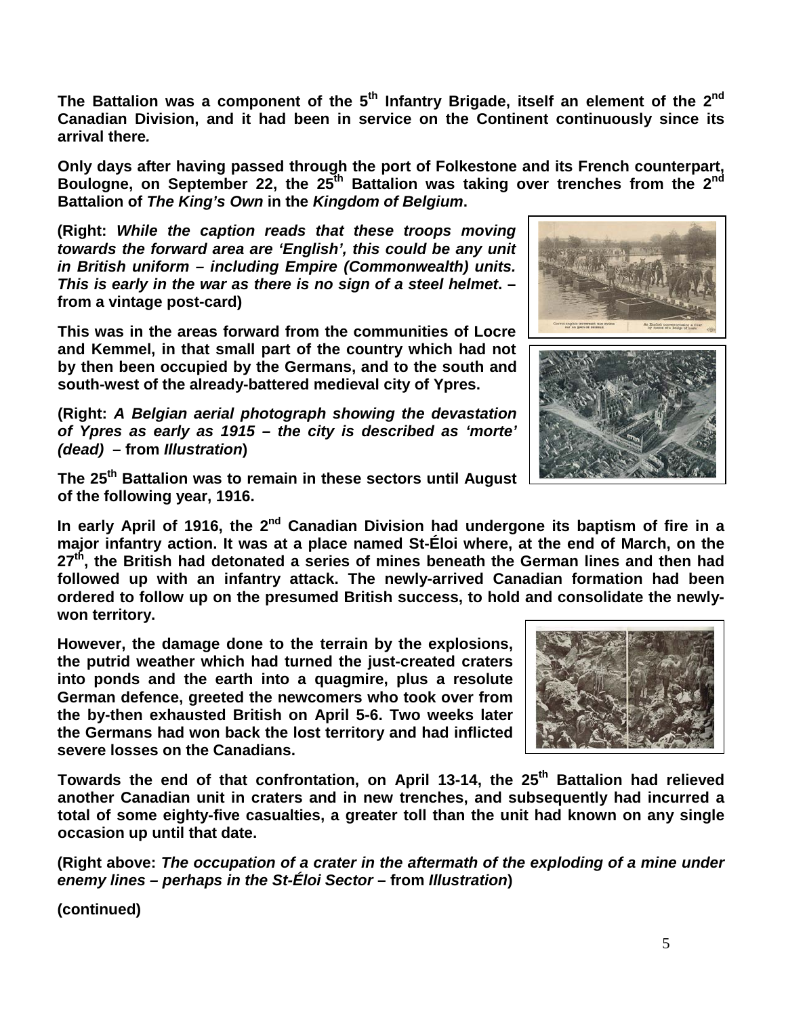**The Battalion was a component of the 5th Infantry Brigade, itself an element of the 2nd Canadian Division, and it had been in service on the Continent continuously since its arrival there***.*

**Only days after having passed through the port of Folkestone and its French counterpart, Boulogne, on September 22, the 25th Battalion was taking over trenches from the 2nd Battalion of** *The King's Own* **in the** *Kingdom of Belgium***.**

**(Right:** *While the caption reads that these troops moving towards the forward area are 'English', this could be any unit in British uniform – including Empire (Commonwealth) units. This is early in the war as there is no sign of a steel helmet***. – from a vintage post-card)**

**This was in the areas forward from the communities of Locre and Kemmel, in that small part of the country which had not by then been occupied by the Germans, and to the south and south-west of the already-battered medieval city of Ypres.**

**(Right:** *A Belgian aerial photograph showing the devastation of Ypres as early as 1915 – the city is described as 'morte' (dead)* **– from** *Illustration***)**

**The 25th Battalion was to remain in these sectors until August of the following year, 1916.**

In early April of 1916, the 2<sup>nd</sup> Canadian Division had undergone its baptism of fire in a **major infantry action. It was at a place named St-Éloi where, at the end of March, on the 27th, the British had detonated a series of mines beneath the German lines and then had followed up with an infantry attack. The newly-arrived Canadian formation had been ordered to follow up on the presumed British success, to hold and consolidate the newlywon territory.**

**However, the damage done to the terrain by the explosions, the putrid weather which had turned the just-created craters into ponds and the earth into a quagmire, plus a resolute German defence, greeted the newcomers who took over from the by-then exhausted British on April 5-6. Two weeks later the Germans had won back the lost territory and had inflicted severe losses on the Canadians.**



Towards the end of that confrontation, on April 13-14, the 25<sup>th</sup> Battalion had relieved **another Canadian unit in craters and in new trenches, and subsequently had incurred a total of some eighty-five casualties, a greater toll than the unit had known on any single occasion up until that date.**

**(Right above:** *The occupation of a crater in the aftermath of the exploding of a mine under enemy lines – perhaps in the St-Éloi Sector* **– from** *Illustration***)**



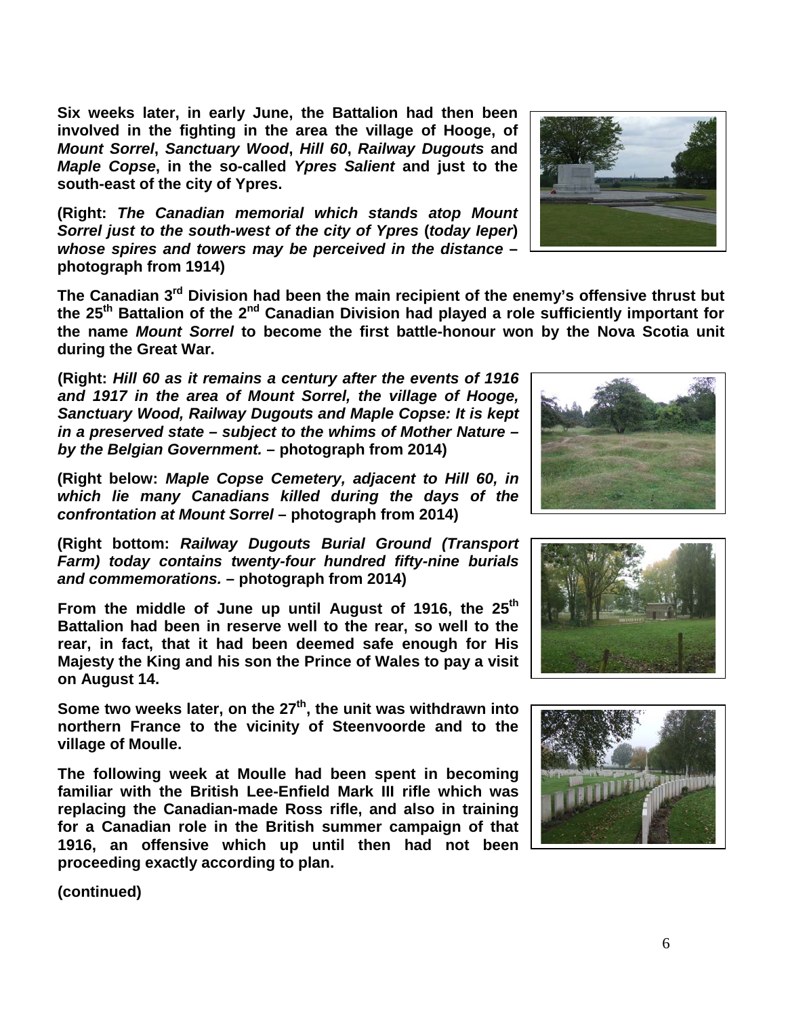**Six weeks later, in early June, the Battalion had then been involved in the fighting in the area the village of Hooge, of**  *Mount Sorrel***,** *Sanctuary Wood***,** *Hill 60***,** *Railway Dugouts* **and**  *Maple Copse***, in the so-called** *Ypres Salient* **and just to the south-east of the city of Ypres.** 

**(Right:** *The Canadian memorial which stands atop Mount Sorrel just to the south-west of the city of Ypres* **(***today Ieper***)** *whose spires and towers may be perceived in the distance* **– photograph from 1914)**

The Canadian 3<sup>rd</sup> Division had been the main recipient of the enemy's offensive thrust but **the 25th Battalion of the 2nd Canadian Division had played a role sufficiently important for the name** *Mount Sorrel* **to become the first battle-honour won by the Nova Scotia unit during the Great War.**

**(Right:** *Hill 60 as it remains a century after the events of 1916 and 1917 in the area of Mount Sorrel, the village of Hooge, Sanctuary Wood, Railway Dugouts and Maple Copse: It is kept in a preserved state – subject to the whims of Mother Nature – by the Belgian Government.* **– photograph from 2014)**

**(Right below:** *Maple Copse Cemetery, adjacent to Hill 60, in which lie many Canadians killed during the days of the confrontation at Mount Sorrel* **– photograph from 2014)**

**(Right bottom:** *Railway Dugouts Burial Ground (Transport Farm) today contains twenty-four hundred fifty-nine burials and commemorations.* **– photograph from 2014)**

From the middle of June up until August of 1916, the 25<sup>th</sup> **Battalion had been in reserve well to the rear, so well to the rear, in fact, that it had been deemed safe enough for His Majesty the King and his son the Prince of Wales to pay a visit on August 14.** 

Some two weeks later, on the 27<sup>th</sup>, the unit was withdrawn into **northern France to the vicinity of Steenvoorde and to the village of Moulle.**

**The following week at Moulle had been spent in becoming familiar with the British Lee-Enfield Mark III rifle which was replacing the Canadian-made Ross rifle, and also in training for a Canadian role in the British summer campaign of that 1916, an offensive which up until then had not been proceeding exactly according to plan.**









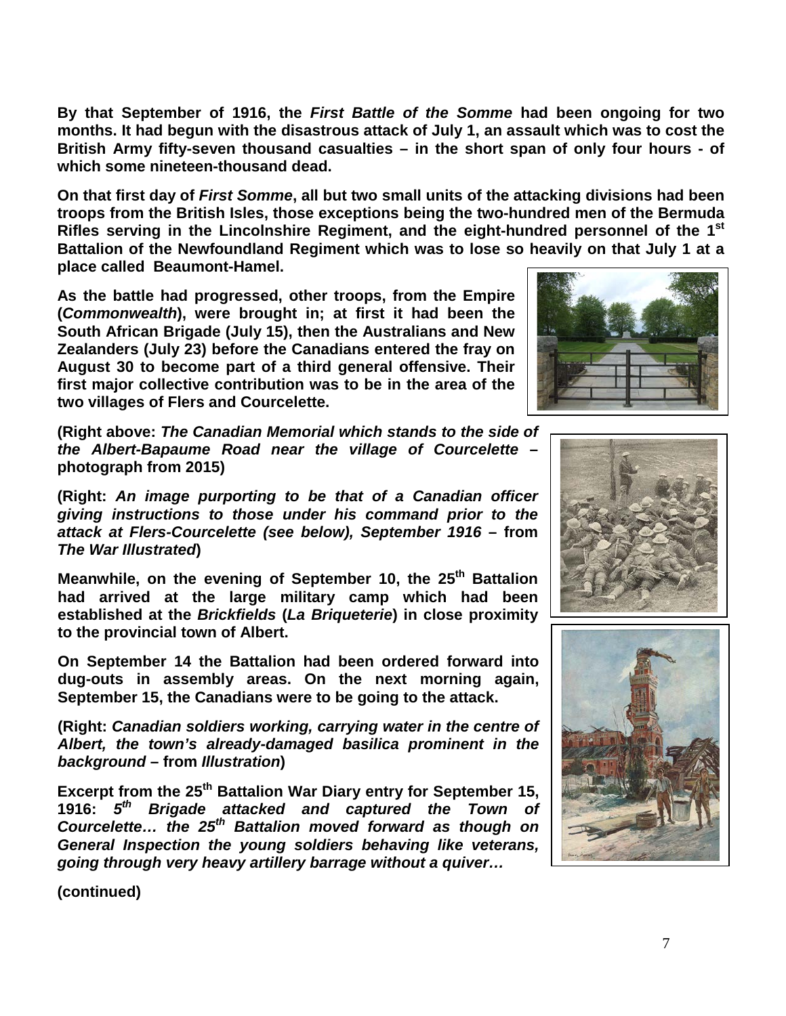7

**By that September of 1916, the** *First Battle of the Somme* **had been ongoing for two months. It had begun with the disastrous attack of July 1, an assault which was to cost the British Army fifty-seven thousand casualties – in the short span of only four hours - of which some nineteen-thousand dead.**

**On that first day of** *First Somme***, all but two small units of the attacking divisions had been troops from the British Isles, those exceptions being the two-hundred men of the Bermuda Rifles serving in the Lincolnshire Regiment, and the eight-hundred personnel of the 1st Battalion of the Newfoundland Regiment which was to lose so heavily on that July 1 at a place called Beaumont-Hamel.**

**As the battle had progressed, other troops, from the Empire (***Commonwealth***), were brought in; at first it had been the South African Brigade (July 15), then the Australians and New Zealanders (July 23) before the Canadians entered the fray on August 30 to become part of a third general offensive. Their first major collective contribution was to be in the area of the two villages of Flers and Courcelette.**

**(Right above:** *The Canadian Memorial which stands to the side of the Albert-Bapaume Road near the village of Courcelette* **– photograph from 2015)**

**(Right:** *An image purporting to be that of a Canadian officer giving instructions to those under his command prior to the attack at Flers-Courcelette (see below), September 1916* **– from**  *The War Illustrated***)**

Meanwhile, on the evening of September 10, the 25<sup>th</sup> Battalion **had arrived at the large military camp which had been established at the** *Brickfields* **(***La Briqueterie***) in close proximity to the provincial town of Albert.** 

**On September 14 the Battalion had been ordered forward into dug-outs in assembly areas. On the next morning again, September 15, the Canadians were to be going to the attack.**

**(Right:** *Canadian soldiers working, carrying water in the centre of Albert, the town's already-damaged basilica prominent in the background* **– from** *Illustration***)**

**Excerpt from the 25th Battalion War Diary entry for September 15, 1916:** *5th Brigade attacked and captured the Town of Courcelette… the 25th Battalion moved forward as though on General Inspection the young soldiers behaving like veterans, going through very heavy artillery barrage without a quiver…*





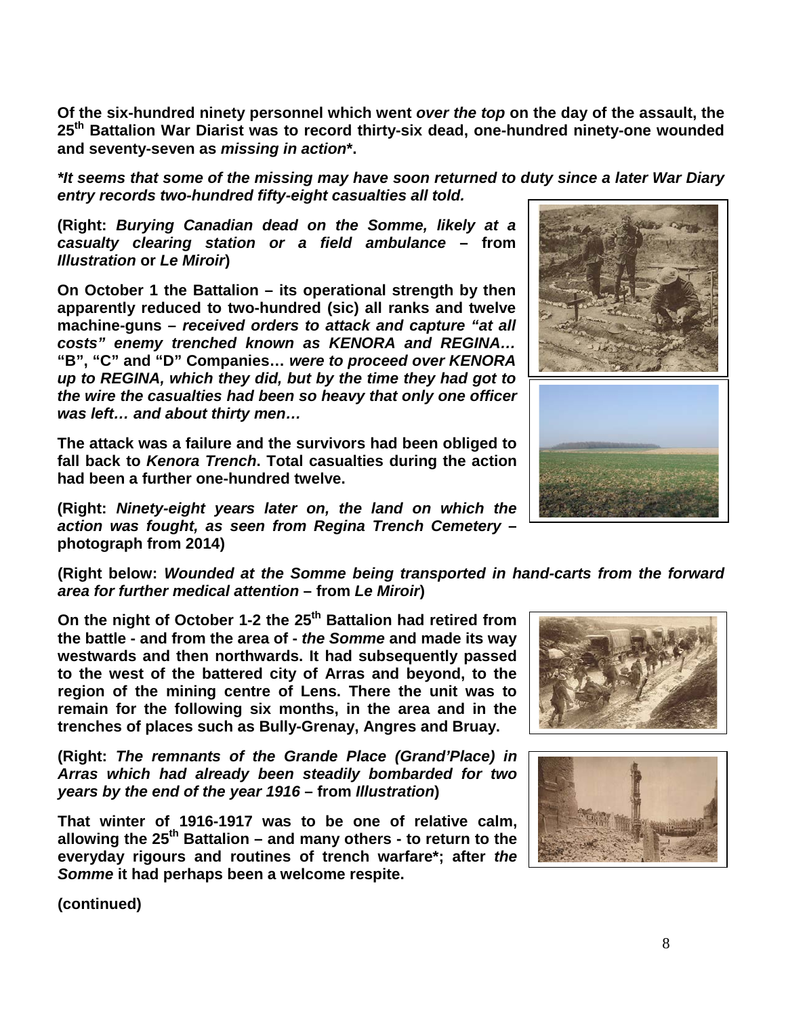**Of the six-hundred ninety personnel which went** *over the top* **on the day of the assault, the 25th Battalion War Diarist was to record thirty-six dead, one-hundred ninety-one wounded and seventy-seven as** *missing in action***\*.**

*\*It seems that some of the missing may have soon returned to duty since a later War Diary entry records two-hundred fifty-eight casualties all told.*

**(Right:** *Burying Canadian dead on the Somme, likely at a casualty clearing station or a field ambulance* **– from**  *Illustration* **or** *Le Miroir***)**

**On October 1 the Battalion – its operational strength by then apparently reduced to two-hundred (sic) all ranks and twelve machine-guns –** *received orders to attack and capture "at all costs" enemy trenched known as KENORA and REGINA…*  **"B", "C" and "D" Companies…** *were to proceed over KENORA up to REGINA, which they did, but by the time they had got to the wire the casualties had been so heavy that only one officer was left… and about thirty men…*

**The attack was a failure and the survivors had been obliged to fall back to** *Kenora Trench***. Total casualties during the action had been a further one-hundred twelve.**

**(Right:** *Ninety-eight years later on, the land on which the action was fought, as seen from Regina Trench Cemetery* **– photograph from 2014)**

**(Right below:** *Wounded at the Somme being transported in hand-carts from the forward area for further medical attention* **– from** *Le Miroir***)**

On the night of October 1-2 the 25<sup>th</sup> Battalion had retired from **the battle - and from the area of -** *the Somme* **and made its way westwards and then northwards. It had subsequently passed to the west of the battered city of Arras and beyond, to the region of the mining centre of Lens. There the unit was to remain for the following six months, in the area and in the trenches of places such as Bully-Grenay, Angres and Bruay.**

**(Right:** *The remnants of the Grande Place (Grand'Place) in Arras which had already been steadily bombarded for two years by the end of the year 1916* **– from** *Illustration***)**

**That winter of 1916-1917 was to be one of relative calm, allowing the 25th Battalion – and many others - to return to the everyday rigours and routines of trench warfare\*; after** *the Somme* **it had perhaps been a welcome respite.** 





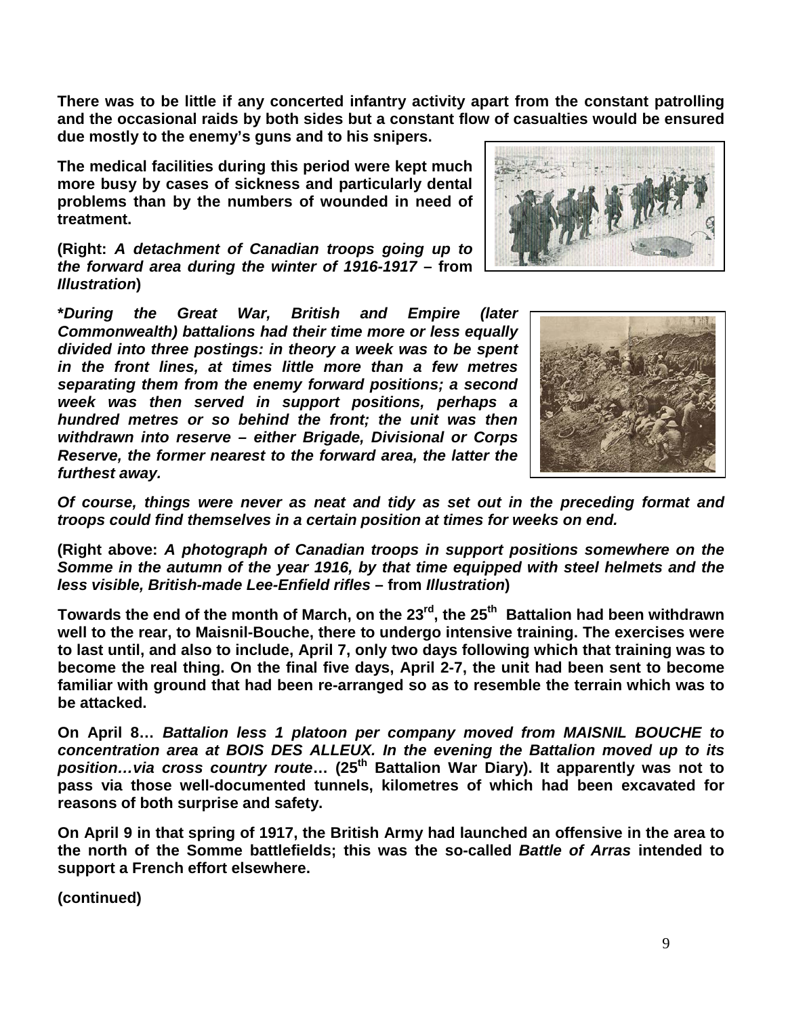**There was to be little if any concerted infantry activity apart from the constant patrolling and the occasional raids by both sides but a constant flow of casualties would be ensured due mostly to the enemy's guns and to his snipers.** 

**The medical facilities during this period were kept much more busy by cases of sickness and particularly dental problems than by the numbers of wounded in need of treatment.**

**(Right:** *A detachment of Canadian troops going up to the forward area during the winter of 1916-1917* **– from**  *Illustration***)** 

**\****During the Great War, British and Empire (later Commonwealth) battalions had their time more or less equally divided into three postings: in theory a week was to be spent in the front lines, at times little more than a few metres separating them from the enemy forward positions; a second week was then served in support positions, perhaps a hundred metres or so behind the front; the unit was then withdrawn into reserve – either Brigade, Divisional or Corps Reserve, the former nearest to the forward area, the latter the furthest away.*





*Of course, things were never as neat and tidy as set out in the preceding format and troops could find themselves in a certain position at times for weeks on end.*

**(Right above:** *A photograph of Canadian troops in support positions somewhere on the Somme in the autumn of the year 1916, by that time equipped with steel helmets and the less visible, British-made Lee-Enfield rifles* **– from** *Illustration***)**

Towards the end of the month of March, on the 23<sup>rd</sup>, the 25<sup>th</sup> Battalion had been withdrawn **well to the rear, to Maisnil-Bouche, there to undergo intensive training. The exercises were to last until, and also to include, April 7, only two days following which that training was to become the real thing. On the final five days, April 2-7, the unit had been sent to become familiar with ground that had been re-arranged so as to resemble the terrain which was to be attacked.**

**On April 8…** *Battalion less 1 platoon per company moved from MAISNIL BOUCHE to concentration area at BOIS DES ALLEUX. In the evening the Battalion moved up to its position…via cross country route***… (25th Battalion War Diary). It apparently was not to pass via those well-documented tunnels, kilometres of which had been excavated for reasons of both surprise and safety.**

**On April 9 in that spring of 1917, the British Army had launched an offensive in the area to the north of the Somme battlefields; this was the so-called** *Battle of Arras* **intended to support a French effort elsewhere.**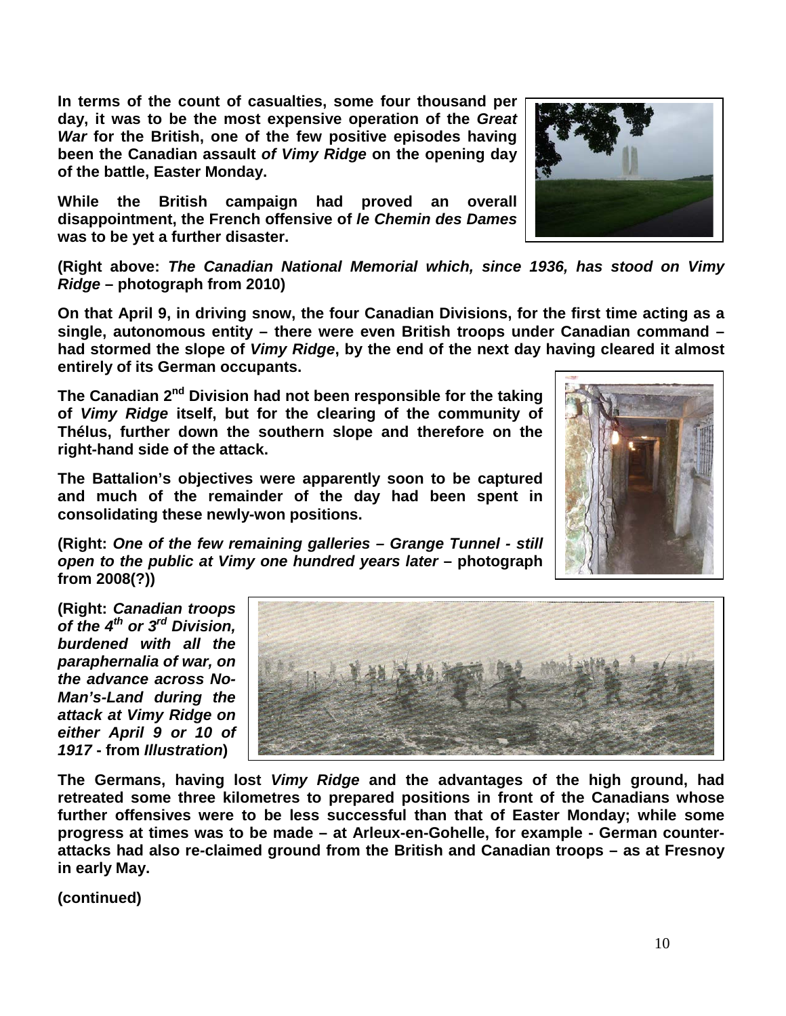**In terms of the count of casualties, some four thousand per day, it was to be the most expensive operation of the** *Great War* **for the British, one of the few positive episodes having been the Canadian assault** *of Vimy Ridge* **on the opening day of the battle, Easter Monday.** 

**While the British campaign had proved an overall disappointment, the French offensive of** *le Chemin des Dames* **was to be yet a further disaster.** 

**(Right above:** *The Canadian National Memorial which, since 1936, has stood on Vimy Ridge* **– photograph from 2010)**

**On that April 9, in driving snow, the four Canadian Divisions, for the first time acting as a single, autonomous entity – there were even British troops under Canadian command – had stormed the slope of** *Vimy Ridge***, by the end of the next day having cleared it almost entirely of its German occupants.**

**The Canadian 2nd Division had not been responsible for the taking of** *Vimy Ridge* **itself, but for the clearing of the community of Thélus, further down the southern slope and therefore on the right-hand side of the attack.** 

**The Battalion's objectives were apparently soon to be captured and much of the remainder of the day had been spent in consolidating these newly-won positions.**

**(Right:** *One of the few remaining galleries – Grange Tunnel - still open to the public at Vimy one hundred years later* **– photograph from 2008(?))**

**(Right:** *Canadian troops of the 4th or 3rd Division, burdened with all the paraphernalia of war, on the advance across No-Man's-Land during the attack at Vimy Ridge on either April 9 or 10 of 1917* **- from** *Illustration***)**

**The Germans, having lost** *Vimy Ridge* **and the advantages of the high ground, had retreated some three kilometres to prepared positions in front of the Canadians whose further offensives were to be less successful than that of Easter Monday; while some progress at times was to be made – at Arleux-en-Gohelle, for example - German counterattacks had also re-claimed ground from the British and Canadian troops – as at Fresnoy in early May.**





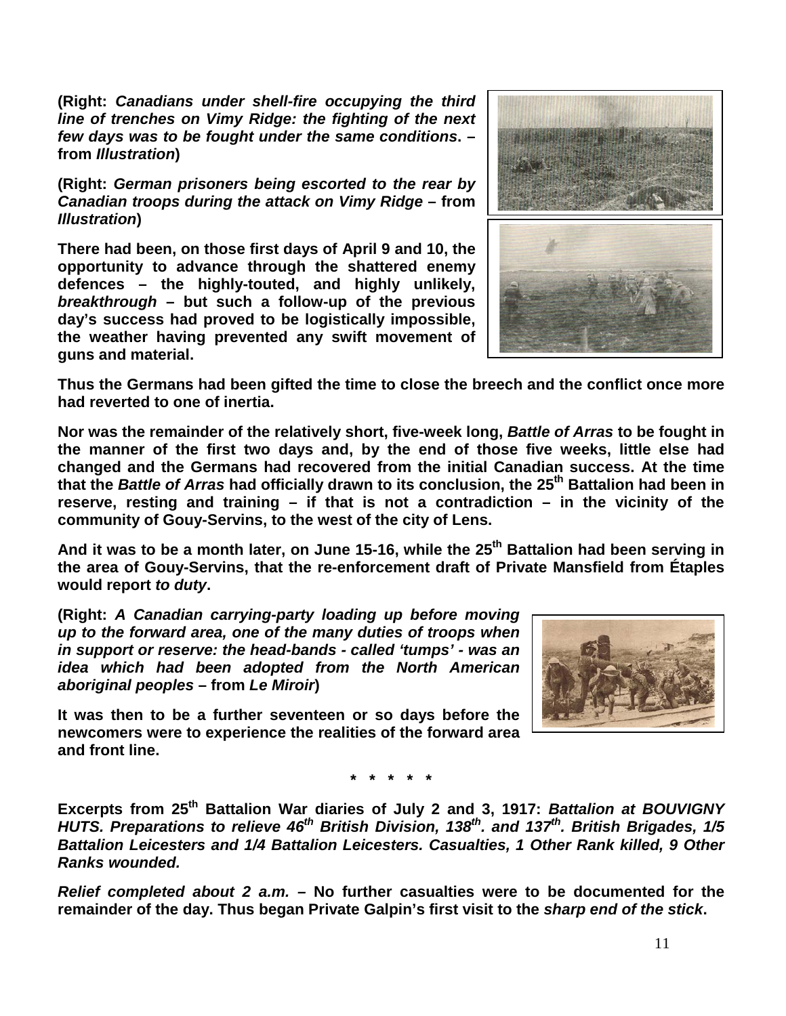**(Right:** *Canadians under shell-fire occupying the third line of trenches on Vimy Ridge: the fighting of the next few days was to be fought under the same conditions***. – from** *Illustration***)**

**(Right:** *German prisoners being escorted to the rear by Canadian troops during the attack on Vimy Ridge* **– from**  *Illustration***)**

**There had been, on those first days of April 9 and 10, the opportunity to advance through the shattered enemy defences – the highly-touted, and highly unlikely,**  *breakthrough* **– but such a follow-up of the previous day's success had proved to be logistically impossible, the weather having prevented any swift movement of guns and material.** 



**Thus the Germans had been gifted the time to close the breech and the conflict once more had reverted to one of inertia.**

**Nor was the remainder of the relatively short, five-week long,** *Battle of Arras* **to be fought in the manner of the first two days and, by the end of those five weeks, little else had changed and the Germans had recovered from the initial Canadian success. At the time that the** *Battle of Arras* **had officially drawn to its conclusion, the 25th Battalion had been in reserve, resting and training – if that is not a contradiction – in the vicinity of the community of Gouy-Servins, to the west of the city of Lens.**

And it was to be a month later, on June 15-16, while the 25<sup>th</sup> Battalion had been serving in **the area of Gouy-Servins, that the re-enforcement draft of Private Mansfield from Étaples would report** *to duty***.**

**(Right:** *A Canadian carrying-party loading up before moving up to the forward area, one of the many duties of troops when in support or reserve: the head-bands - called 'tumps' - was an idea which had been adopted from the North American aboriginal peoples* **– from** *Le Miroir***)**

**It was then to be a further seventeen or so days before the newcomers were to experience the realities of the forward area and front line.**



**\* \* \* \* \***

**Excerpts from 25th Battalion War diaries of July 2 and 3, 1917:** *Battalion at BOUVIGNY HUTS. Preparations to relieve 46th British Division, 138th. and 137th. British Brigades, 1/5 Battalion Leicesters and 1/4 Battalion Leicesters. Casualties, 1 Other Rank killed, 9 Other Ranks wounded.*

*Relief completed about 2 a.m. –* **No further casualties were to be documented for the remainder of the day. Thus began Private Galpin's first visit to the** *sharp end of the stick***.**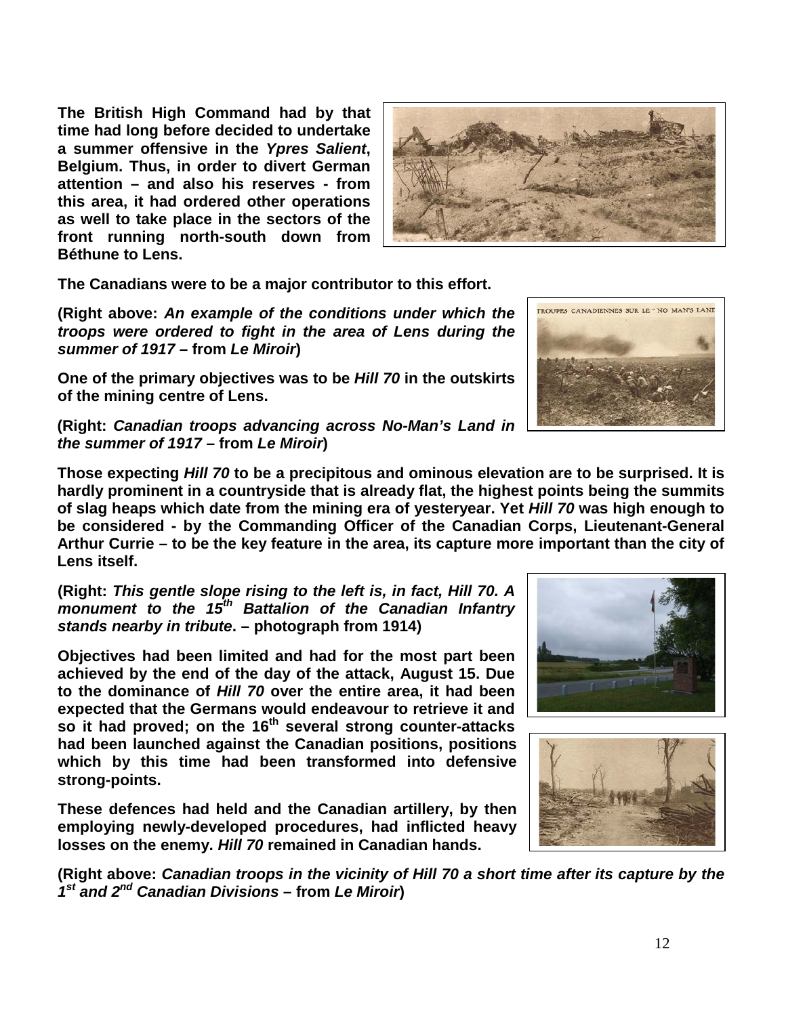**The British High Command had by that time had long before decided to undertake a summer offensive in the** *Ypres Salient***, Belgium. Thus, in order to divert German attention – and also his reserves - from this area, it had ordered other operations as well to take place in the sectors of the front running north-south down from Béthune to Lens.** 



**The Canadians were to be a major contributor to this effort.**

**(Right above:** *An example of the conditions under which the troops were ordered to fight in the area of Lens during the summer of 1917 –* **from** *Le Miroir***)**

**One of the primary objectives was to be** *Hill 70* **in the outskirts of the mining centre of Lens.**

**(Right:** *Canadian troops advancing across No-Man's Land in the summer of 1917* **– from** *Le Miroir***)**

**Those expecting** *Hill 70* **to be a precipitous and ominous elevation are to be surprised. It is hardly prominent in a countryside that is already flat, the highest points being the summits of slag heaps which date from the mining era of yesteryear. Yet** *Hill 70* **was high enough to be considered - by the Commanding Officer of the Canadian Corps, Lieutenant-General Arthur Currie – to be the key feature in the area, its capture more important than the city of Lens itself.**

**(Right:** *This gentle slope rising to the left is, in fact, Hill 70. A monument to the 15th Battalion of the Canadian Infantry stands nearby in tribute***. – photograph from 1914)**

**Objectives had been limited and had for the most part been achieved by the end of the day of the attack, August 15. Due to the dominance of** *Hill 70* **over the entire area, it had been expected that the Germans would endeavour to retrieve it and so it had proved; on the 16th several strong counter-attacks had been launched against the Canadian positions, positions which by this time had been transformed into defensive strong-points.** 

**These defences had held and the Canadian artillery, by then employing newly-developed procedures, had inflicted heavy losses on the enemy.** *Hill 70* **remained in Canadian hands.**





**(Right above:** *Canadian troops in the vicinity of Hill 70 a short time after its capture by the 1st and 2nd Canadian Divisions* **– from** *Le Miroir***)**

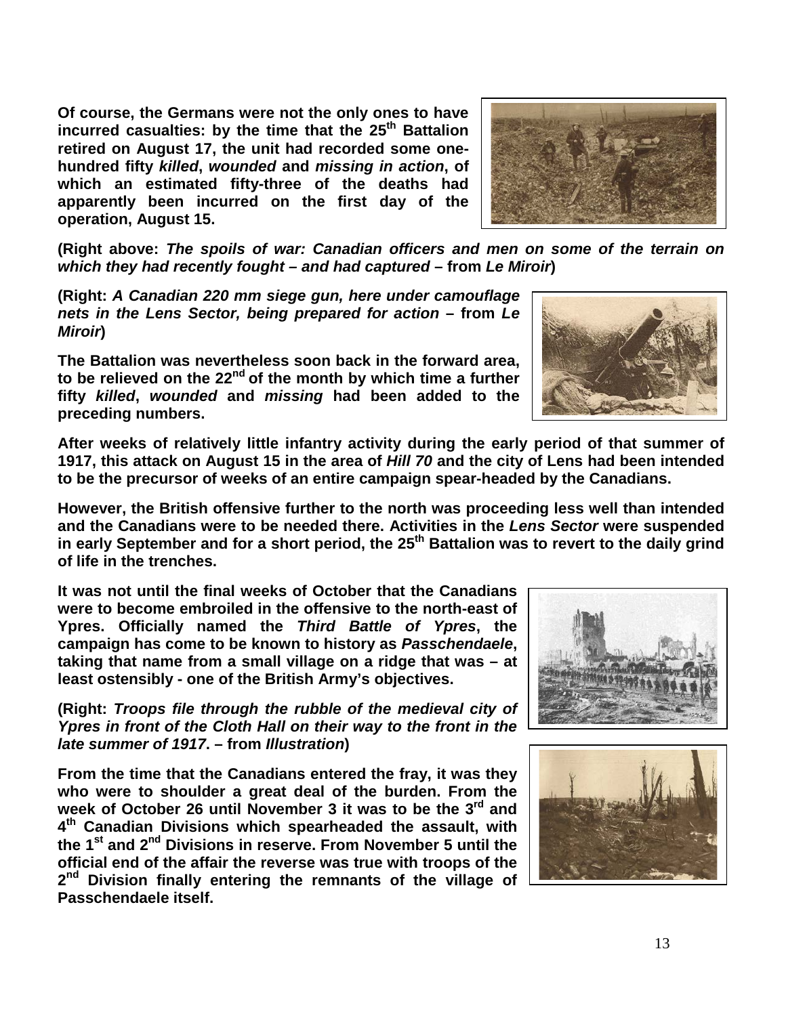**Of course, the Germans were not the only ones to have incurred casualties: by the time that the 25th Battalion retired on August 17, the unit had recorded some onehundred fifty** *killed***,** *wounded* **and** *missing in action***, of which an estimated fifty-three of the deaths had apparently been incurred on the first day of the operation, August 15.**



**(Right above:** *The spoils of war: Canadian officers and men on some of the terrain on which they had recently fought – and had captured* **– from** *Le Miroir***)**

**(Right:** *A Canadian 220 mm siege gun, here under camouflage nets in the Lens Sector, being prepared for action* **– from** *Le Miroir***)**

**The Battalion was nevertheless soon back in the forward area, to be relieved on the 22nd of the month by which time a further fifty** *killed***,** *wounded* **and** *missing* **had been added to the preceding numbers.** 



**After weeks of relatively little infantry activity during the early period of that summer of 1917, this attack on August 15 in the area of** *Hill 70* **and the city of Lens had been intended to be the precursor of weeks of an entire campaign spear-headed by the Canadians.** 

**However, the British offensive further to the north was proceeding less well than intended and the Canadians were to be needed there. Activities in the** *Lens Sector* **were suspended**  in early September and for a short period, the 25<sup>th</sup> Battalion was to revert to the daily grind **of life in the trenches.**

**It was not until the final weeks of October that the Canadians were to become embroiled in the offensive to the north-east of Ypres. Officially named the** *Third Battle of Ypres***, the campaign has come to be known to history as** *Passchendaele***, taking that name from a small village on a ridge that was – at least ostensibly - one of the British Army's objectives.**

**(Right:** *Troops file through the rubble of the medieval city of Ypres in front of the Cloth Hall on their way to the front in the late summer of 1917***. – from** *Illustration***)**

**From the time that the Canadians entered the fray, it was they who were to shoulder a great deal of the burden. From the week of October 26 until November 3 it was to be the 3rd and 4th Canadian Divisions which spearheaded the assault, with the 1st and 2nd Divisions in reserve. From November 5 until the official end of the affair the reverse was true with troops of the 2nd Division finally entering the remnants of the village of Passchendaele itself.** 



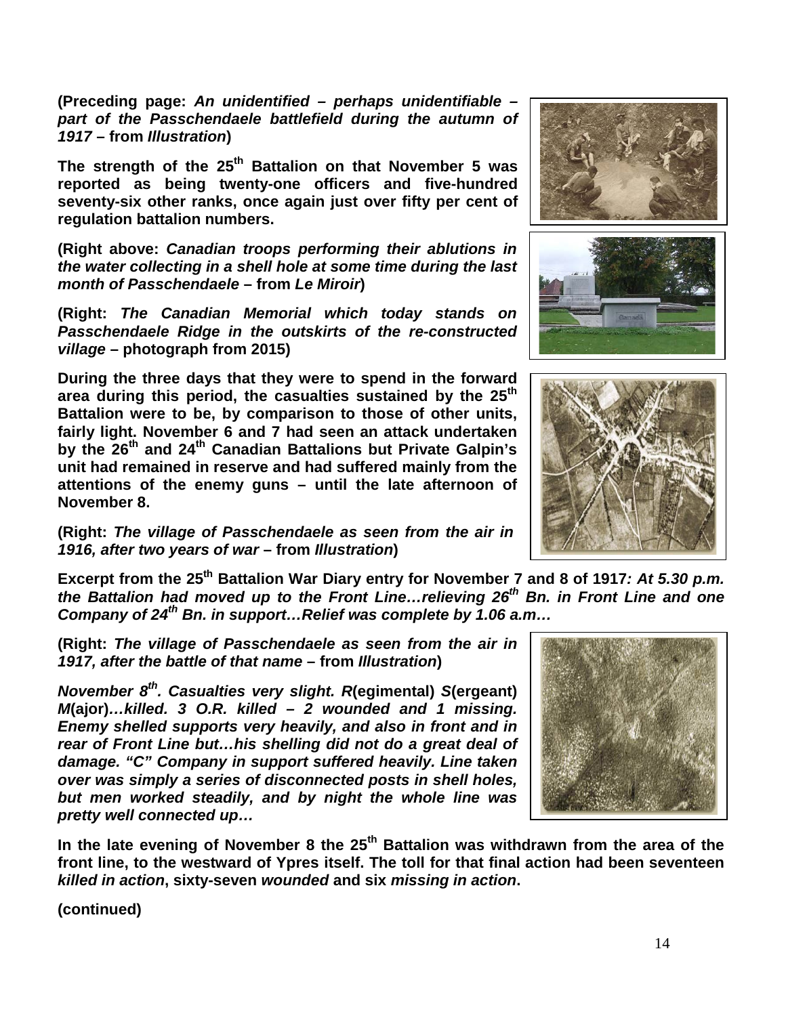**(Preceding page:** *An unidentified – perhaps unidentifiable – part of the Passchendaele battlefield during the autumn of 1917* **– from** *Illustration***)**

**The strength of the 25th Battalion on that November 5 was reported as being twenty-one officers and five-hundred seventy-six other ranks, once again just over fifty per cent of regulation battalion numbers.** 

**(Right above:** *Canadian troops performing their ablutions in the water collecting in a shell hole at some time during the last month of Passchendaele* **– from** *Le Miroir***)**

**(Right:** *The Canadian Memorial which today stands on Passchendaele Ridge in the outskirts of the re-constructed village* **– photograph from 2015)**

**During the three days that they were to spend in the forward area during this period, the casualties sustained by the 25th Battalion were to be, by comparison to those of other units, fairly light. November 6 and 7 had seen an attack undertaken by the 26th and 24th Canadian Battalions but Private Galpin's unit had remained in reserve and had suffered mainly from the attentions of the enemy guns – until the late afternoon of November 8.**

**(Right:** *The village of Passchendaele as seen from the air in 1916, after two years of war* **– from** *Illustration***)**

**Excerpt from the 25th Battalion War Diary entry for November 7 and 8 of 1917***: At 5.30 p.m. the Battalion had moved up to the Front Line…relieving 26th Bn. in Front Line and one Company of 24th Bn. in support…Relief was complete by 1.06 a.m…*

**(Right:** *The village of Passchendaele as seen from the air in 1917, after the battle of that name* **– from** *Illustration***)**

*November 8th. Casualties very slight. R***(egimental)** *S***(ergeant)** *M***(ajor)***…killed. 3 O.R. killed – 2 wounded and 1 missing. Enemy shelled supports very heavily, and also in front and in rear of Front Line but…his shelling did not do a great deal of damage. "C" Company in support suffered heavily. Line taken over was simply a series of disconnected posts in shell holes, but men worked steadily, and by night the whole line was pretty well connected up…*

**In the late evening of November 8 the 25th Battalion was withdrawn from the area of the front line, to the westward of Ypres itself. The toll for that final action had been seventeen**  *killed in action***, sixty-seven** *wounded* **and six** *missing in action***.**